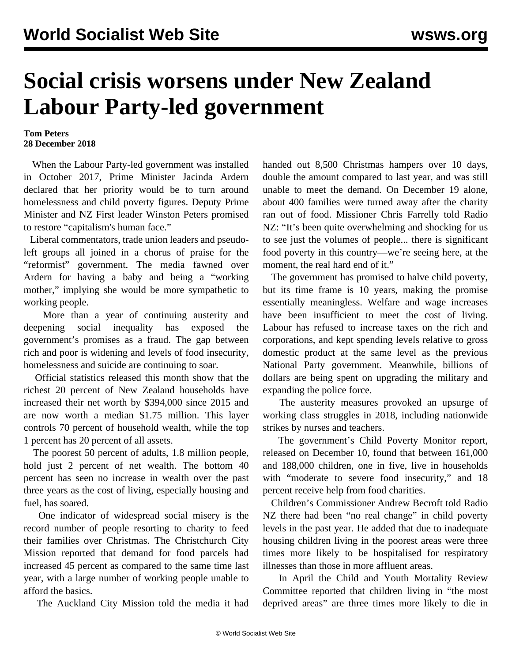## **Social crisis worsens under New Zealand Labour Party-led government**

## **Tom Peters 28 December 2018**

 When the Labour Party-led government was installed in October 2017, Prime Minister Jacinda Ardern declared that her priority would be to turn around homelessness and child poverty figures. Deputy Prime Minister and NZ First leader Winston Peters promised to restore "capitalism's human face."

 Liberal commentators, trade union leaders and pseudoleft groups all joined in a chorus of praise for the "reformist" government. The media fawned over Ardern for having a baby and being a "working mother," implying she would be more sympathetic to working people.

 More than a year of continuing austerity and deepening social inequality has exposed the government's promises as a fraud. The gap between rich and poor is widening and levels of food insecurity, homelessness and suicide are continuing to soar.

 Official statistics released this month show that the richest 20 percent of New Zealand households have increased their net worth by \$394,000 since 2015 and are now worth a median \$1.75 million. This layer controls 70 percent of household wealth, while the top 1 percent has 20 percent of all assets.

 The poorest 50 percent of adults, 1.8 million people, hold just 2 percent of net wealth. The bottom 40 percent has seen no increase in wealth over the past three years as the cost of living, especially housing and fuel, has soared.

 One indicator of widespread social misery is the record number of people resorting to charity to feed their families over Christmas. The Christchurch City Mission reported that demand for food parcels had increased 45 percent as compared to the same time last year, with a large number of working people unable to afford the basics.

The Auckland City Mission told the media it had

handed out 8,500 Christmas hampers over 10 days, double the amount compared to last year, and was still unable to meet the demand. On December 19 alone, about 400 families were turned away after the charity ran out of food. Missioner Chris Farrelly told Radio NZ: "It's been quite overwhelming and shocking for us to see just the volumes of people... there is significant food poverty in this country—we're seeing here, at the moment, the real hard end of it."

 The government has promised to halve child poverty, but its time frame is 10 years, making the promise essentially meaningless. Welfare and wage increases have been insufficient to meet the cost of living. Labour has refused to increase taxes on the rich and corporations, and kept spending levels relative to gross domestic product at the same level as the previous National Party government. Meanwhile, billions of dollars are being spent on upgrading the military and expanding the police force.

 The austerity measures provoked an upsurge of working class struggles in 2018, including nationwide strikes by nurses and teachers.

 The government's Child Poverty Monitor report, released on December 10, found that between 161,000 and 188,000 children, one in five, live in households with "moderate to severe food insecurity," and 18 percent receive help from food charities.

 Children's Commissioner Andrew Becroft told Radio NZ there had been "no real change" in child poverty levels in the past year. He added that due to inadequate housing children living in the poorest areas were three times more likely to be hospitalised for respiratory illnesses than those in more affluent areas.

 In April the Child and Youth Mortality Review Committee reported that children living in "the most deprived areas" are three times more likely to die in